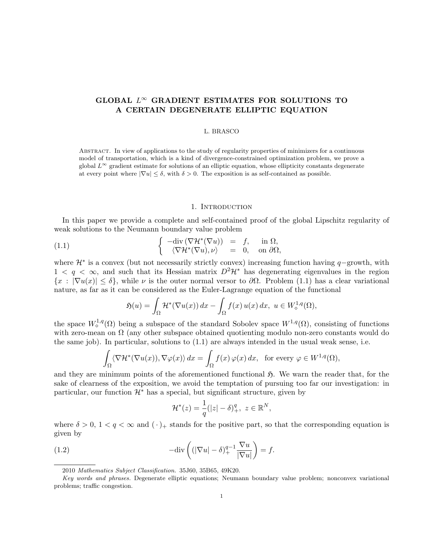# GLOBAL  $L^{\infty}$  GRADIENT ESTIMATES FOR SOLUTIONS TO A CERTAIN DEGENERATE ELLIPTIC EQUATION

#### L. BRASCO

Abstract. In view of applications to the study of regularity properties of minimizers for a continuous model of transportation, which is a kind of divergence-constrained optimization problem, we prove a global  $L^{\infty}$  gradient estimate for solutions of an elliptic equation, whose ellipticity constants degenerate at every point where  $|\nabla u| \leq \delta$ , with  $\delta > 0$ . The exposition is as self-contained as possible.

### 1. INTRODUCTION

In this paper we provide a complete and self-contained proof of the global Lipschitz regularity of weak solutions to the Neumann boundary value problem

(1.1) 
$$
\begin{cases}\n-\text{div}(\nabla \mathcal{H}^*(\nabla u)) = f, & \text{in } \Omega, \\
\langle \nabla \mathcal{H}^*(\nabla u), \nu \rangle = 0, & \text{on } \partial \Omega,\n\end{cases}
$$

where  $\mathcal{H}^*$  is a convex (but not necessarily strictly convex) increasing function having q–growth, with  $1 < q < \infty$ , and such that its Hessian matrix  $D^2\mathcal{H}^*$  has degenerating eigenvalues in the region  ${x : |\nabla u(x)| \leq \delta}$ , while  $\nu$  is the outer normal versor to  $\partial \Omega$ . Problem (1.1) has a clear variational nature, as far as it can be considered as the Euler-Lagrange equation of the functional

$$
\mathfrak{H}(u) = \int_{\Omega} \mathcal{H}^*(\nabla u(x)) dx - \int_{\Omega} f(x) u(x) dx, \ u \in W^{1,q}(\Omega),
$$

the space  $W^{1,q}_\diamond(\Omega)$  being a subspace of the standard Sobolev space  $W^{1,q}(\Omega)$ , consisting of functions with zero-mean on  $\Omega$  (any other subspace obtained quotienting modulo non-zero constants would do the same job). In particular, solutions to (1.1) are always intended in the usual weak sense, i.e.

$$
\int_{\Omega} \langle \nabla \mathcal{H}^*(\nabla u(x)), \nabla \varphi(x) \rangle dx = \int_{\Omega} f(x) \varphi(x) dx, \text{ for every } \varphi \in W^{1,q}(\Omega),
$$

and they are minimum points of the aforementioned functional  $\mathfrak{H}$ . We warn the reader that, for the sake of clearness of the exposition, we avoid the temptation of pursuing too far our investigation: in particular, our function  $\mathcal{H}^*$  has a special, but significant structure, given by

$$
\mathcal{H}^*(z) = \frac{1}{q}(|z| - \delta)_+^q, \ z \in \mathbb{R}^N,
$$

where  $\delta > 0$ ,  $1 < q < \infty$  and  $(\cdot)_+$  stands for the positive part, so that the corresponding equation is given by

(1.2) 
$$
-\text{div}\left((|\nabla u| - \delta)_+^{q-1} \frac{\nabla u}{|\nabla u|}\right) = f.
$$

<sup>2010</sup> Mathematics Subject Classification. 35J60, 35B65, 49K20.

Key words and phrases. Degenerate elliptic equations; Neumann boundary value problem; nonconvex variational problems; traffic congestion.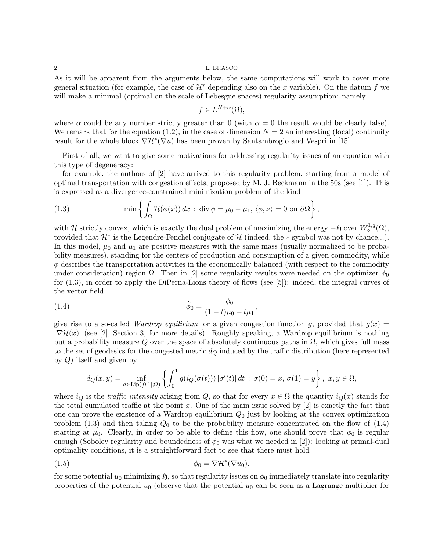As it will be apparent from the arguments below, the same computations will work to cover more general situation (for example, the case of  $\mathcal{H}^*$  depending also on the x variable). On the datum f we will make a minimal (optimal on the scale of Lebesgue spaces) regularity assumption: namely

$$
f \in L^{N+\alpha}(\Omega),
$$

where  $\alpha$  could be any number strictly greater than 0 (with  $\alpha = 0$  the result would be clearly false). We remark that for the equation (1.2), in the case of dimension  $N = 2$  an interesting (local) continuity result for the whole block  $\nabla \mathcal{H}^*(\nabla u)$  has been proven by Santambrogio and Vespri in [15].

First of all, we want to give some motivations for addressing regularity issues of an equation with this type of degeneracy:

for example, the authors of [2] have arrived to this regularity problem, starting from a model of optimal transportation with congestion effects, proposed by M. J. Beckmann in the 50s (see [1]). This is expressed as a divergence-constrained minimization problem of the kind

(1.3) 
$$
\min \left\{ \int_{\Omega} \mathcal{H}(\phi(x)) dx : \text{div } \phi = \mu_0 - \mu_1, \ \langle \phi, \nu \rangle = 0 \text{ on } \partial \Omega \right\},
$$

with H strictly convex, which is exactly the dual problem of maximizing the energy  $-\mathfrak{H}$  over  $W^{1,q}_{\diamond}(\Omega)$ , provided that  $\mathcal{H}^*$  is the Legendre-Fenchel conjugate of  $\mathcal{H}$  (indeed, the  $*$  symbol was not by chance...). In this model,  $\mu_0$  and  $\mu_1$  are positive measures with the same mass (usually normalized to be probability measures), standing for the centers of production and consumption of a given commodity, while  $\phi$  describes the transportation activities in the economically balanced (with respect to the commodity under consideration) region  $\Omega$ . Then in [2] some regularity results were needed on the optimizer  $\phi_0$ for (1.3), in order to apply the DiPerna-Lions theory of flows (see [5]): indeed, the integral curves of the vector field

(1.4) 
$$
\widehat{\phi}_0 = \frac{\phi_0}{(1-t)\mu_0 + t\mu_1},
$$

give rise to a so-called *Wardrop equilirium* for a given congestion function g, provided that  $g(x)$  $|\nabla \mathcal{H}(x)|$  (see [2], Section 3, for more details). Roughly speaking, a Wardrop equilibrium is nothing but a probability measure Q over the space of absolutely continuous paths in  $\Omega$ , which gives full mass to the set of geodesics for the congested metric  $d<sub>Q</sub>$  induced by the traffic distribution (here represented by Q) itself and given by

$$
d_Q(x,y) = \inf_{\sigma \in \text{Lip}([0,1];\Omega)} \left\{ \int_0^1 g(i_Q(\sigma(t))) |\sigma'(t)| dt : \sigma(0) = x, \sigma(1) = y \right\}, x, y \in \Omega,
$$

where  $i_Q$  is the traffic intensity arising from Q, so that for every  $x \in \Omega$  the quantity  $i_Q(x)$  stands for the total cumulated traffic at the point  $x$ . One of the main issue solved by  $[2]$  is exactly the fact that one can prove the existence of a Wardrop equilibrium  $Q_0$  just by looking at the convex optimization problem (1.3) and then taking  $Q_0$  to be the probability measure concentrated on the flow of (1.4) starting at  $\mu_0$ . Clearly, in order to be able to define this flow, one should prove that  $\phi_0$  is regular enough (Sobolev regularity and boundedness of  $\phi_0$  was what we needed in [2]): looking at primal-dual optimality conditions, it is a straightforward fact to see that there must hold

$$
\phi_0 = \nabla \mathcal{H}^*(\nabla u_0),
$$

for some potential  $u_0$  minimizing  $\mathfrak{H}$ , so that regularity issues on  $\phi_0$  immediately translate into regularity properties of the potential  $u_0$  (observe that the potential  $u_0$  can be seen as a Lagrange multiplier for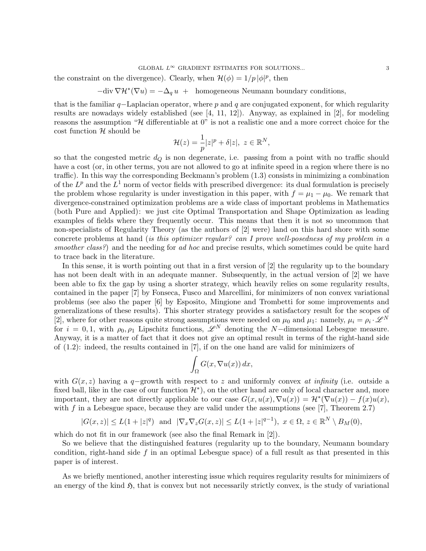#### GLOBAL  $L^{\infty}$  GRADIENT ESTIMATES FOR SOLUTIONS...  $3$

the constraint on the divergence). Clearly, when  $\mathcal{H}(\phi) = 1/p |\phi|^p$ , then

 $-\text{div }\nabla \mathcal{H}^*(\nabla u) = -\Delta_q u + \text{homogeneous Neumann boundary conditions},$ 

that is the familiar  $q$ –Laplacian operator, where p and q are conjugated exponent, for which regularity results are nowadays widely established (see  $[4, 11, 12]$ ). Anyway, as explained in  $[2]$ , for modeling reasons the assumption " $\mathcal H$  differentiable at 0" is not a realistic one and a more correct choice for the  $\cot$  function  $\mathcal H$  should be

$$
\mathcal{H}(z) = \frac{1}{p}|z|^p + \delta |z|, \ z \in \mathbb{R}^N,
$$

so that the congested metric  $d_Q$  is non degenerate, i.e. passing from a point with no traffic should have a cost (or, in other terms, you are not allowed to go at infinite speed in a region where there is no traffic). In this way the corresponding Beckmann's problem (1.3) consists in minimizing a combination of the  $L^p$  and the  $L^1$  norm of vector fields with prescribed divergence: its dual formulation is precisely the problem whose regularity is under investigation in this paper, with  $f = \mu_1 - \mu_0$ . We remark that divergence-constrained optimization problems are a wide class of important problems in Mathematics (both Pure and Applied): we just cite Optimal Transportation and Shape Optimization as leading examples of fields where they frequently occur. This means that then it is not so uncommon that non-specialists of Regularity Theory (as the authors of [2] were) land on this hard shore with some concrete problems at hand (is this optimizer regular? can I prove well-posedness of my problem in a smoother class?) and the needing for ad hoc and precise results, which sometimes could be quite hard to trace back in the literature.

In this sense, it is worth pointing out that in a first version of [2] the regularity up to the boundary has not been dealt with in an adequate manner. Subsequently, in the actual version of [2] we have been able to fix the gap by using a shorter strategy, which heavily relies on some regularity results, contained in the paper [7] by Fonseca, Fusco and Marcellini, for minimizers of non convex variational problems (see also the paper [6] by Esposito, Mingione and Trombetti for some improvements and generalizations of these results). This shorter strategy provides a satisfactory result for the scopes of [2], where for other reasons quite strong assumptions were needed on  $\mu_0$  and  $\mu_1$ : namely,  $\mu_i = \rho_i \cdot \mathscr{L}^N$ for  $i = 0, 1$ , with  $\rho_0, \rho_1$  Lipschitz functions,  $\mathscr{L}^N$  denoting the N-dimensional Lebesgue measure. Anyway, it is a matter of fact that it does not give an optimal result in terms of the right-hand side of  $(1.2)$ : indeed, the results contained in  $[7]$ , if on the one hand are valid for minimizers of

$$
\int_{\Omega} G(x, \nabla u(x)) dx,
$$

with  $G(x, z)$  having a q−growth with respect to z and uniformly convex at infinity (i.e. outside a fixed ball, like in the case of our function  $\mathcal{H}^*$ ), on the other hand are only of local character and, more important, they are not directly applicable to our case  $G(x, u(x), \nabla u(x)) = \mathcal{H}^*(\nabla u(x)) - f(x)u(x)$ , with  $f$  in a Lebesgue space, because they are valid under the assumptions (see  $[7]$ , Theorem 2.7)

$$
|G(x,z)| \le L(1+|z|^q) \text{ and } |\nabla_x \nabla_z G(x,z)| \le L(1+|z|^{q-1}), \ x \in \Omega, \ z \in \mathbb{R}^N \setminus B_M(0),
$$

which do not fit in our framework (see also the final Remark in [2]).

So we believe that the distinguished features (regularity up to the boundary, Neumann boundary condition, right-hand side f in an optimal Lebesgue space) of a full result as that presented in this paper is of interest.

As we briefly mentioned, another interesting issue which requires regularity results for minimizers of an energy of the kind  $\mathfrak{H}$ , that is convex but not necessarily strictly convex, is the study of variational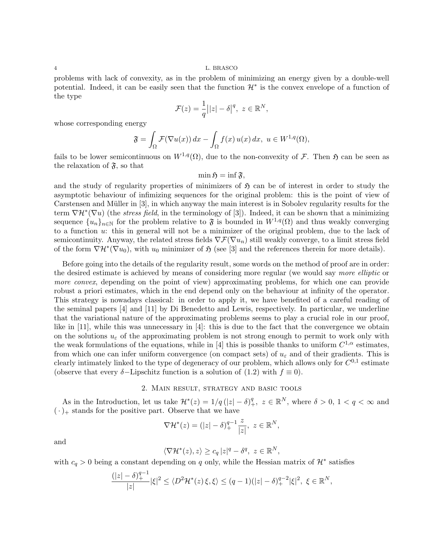problems with lack of convexity, as in the problem of minimizing an energy given by a double-well potential. Indeed, it can be easily seen that the function  $\mathcal{H}^*$  is the convex envelope of a function of the type

$$
\mathcal{F}(z) = \frac{1}{q} \big| |z| - \delta \big|^q, \ z \in \mathbb{R}^N,
$$

whose corresponding energy

$$
\mathfrak{F} = \int_{\Omega} \mathcal{F}(\nabla u(x)) dx - \int_{\Omega} f(x) u(x) dx, u \in W^{1,q}(\Omega),
$$

fails to be lower semicontinuous on  $W^{1,q}(\Omega)$ , due to the non-convexity of F. Then  $\mathfrak H$  can be seen as the relaxation of  $\mathfrak{F}$ , so that

$$
\min \mathfrak{H} = \inf \mathfrak{F},
$$

and the study of regularity properties of minimizers of  $\mathfrak{H}$  can be of interest in order to study the asymptotic behaviour of infimizing sequences for the original problem: this is the point of view of Carstensen and Müller in [3], in which anyway the main interest is in Sobolev regularity results for the term  $\nabla \mathcal{H}^*(\nabla u)$  (the *stress field*, in the terminology of [3]). Indeed, it can be shown that a minimizing sequence  $\{u_n\}_{n\in\mathbb{N}}$  for the problem relative to  $\mathfrak F$  is bounded in  $W^{1,q}(\Omega)$  and thus weakly converging to a function u: this in general will not be a minimizer of the original problem, due to the lack of semicontinuity. Anyway, the related stress fields  $\nabla \mathcal{F}(\nabla u_n)$  still weakly converge, to a limit stress field of the form  $\nabla \mathcal{H}^*(\nabla u_0)$ , with  $u_0$  minimizer of  $\mathfrak{H}$  (see [3] and the references therein for more details).

Before going into the details of the regularity result, some words on the method of proof are in order: the desired estimate is achieved by means of considering more regular (we would say more elliptic or more convex, depending on the point of view) approximating problems, for which one can provide robust a priori estimates, which in the end depend only on the behaviour at infinity of the operator. This strategy is nowadays classical: in order to apply it, we have benefited of a careful reading of the seminal papers [4] and [11] by Di Benedetto and Lewis, respectively. In particular, we underline that the variational nature of the approximating problems seems to play a crucial role in our proof, like in [11], while this was unnecessary in [4]: this is due to the fact that the convergence we obtain on the solutions  $u_{\varepsilon}$  of the approximating problem is not strong enough to permit to work only with the weak formulations of the equations, while in [4] this is possible thanks to uniform  $C^{1,\alpha}$  estimates, from which one can infer uniform convergence (on compact sets) of  $u_{\varepsilon}$  and of their gradients. This is clearly intimately linked to the type of degeneracy of our problem, which allows only for  $C^{0,1}$  estimate (observe that every  $\delta$ -Lipschitz function is a solution of (1.2) with  $f \equiv 0$ ).

### 2. Main result, strategy and basic tools

As in the Introduction, let us take  $\mathcal{H}^*(z) = 1/q(|z| - \delta)_+^q$ ,  $z \in \mathbb{R}^N$ , where  $\delta > 0$ ,  $1 < q < \infty$  and  $(\cdot)_+$  stands for the positive part. Observe that we have

$$
\nabla \mathcal{H}^*(z) = (|z| - \delta)_+^{q-1} \frac{z}{|z|}, \ z \in \mathbb{R}^N,
$$

and

$$
\langle \nabla \mathcal{H}^*(z), z \rangle \ge c_q |z|^q - \delta^q, \ z \in \mathbb{R}^N,
$$

with  $c_q > 0$  being a constant depending on q only, while the Hessian matrix of  $\mathcal{H}^*$  satisfies

$$
\frac{(|z|-\delta)_+^{q-1}}{|z|}|\xi|^2 \le \langle D^2 \mathcal{H}^*(z)\xi,\xi \rangle \le (q-1)(|z|-\delta)_+^{q-2}|\xi|^2, \ \xi \in \mathbb{R}^N,
$$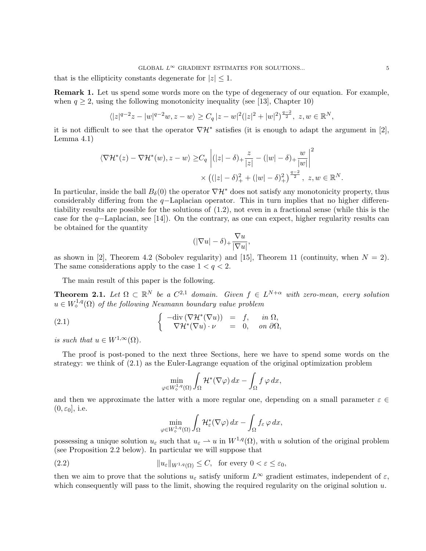that is the ellipticity constants degenerate for  $|z| \leq 1$ .

Remark 1. Let us spend some words more on the type of degeneracy of our equation. For example, when  $q \geq 2$ , using the following monotonicity inequality (see [13], Chapter 10)

$$
\langle |z|^{q-2}z - |w|^{q-2}w, z - w \rangle \ge C_q |z - w|^2 (|z|^2 + |w|^2)^{\frac{q-2}{2}}, z, w \in \mathbb{R}^N,
$$

it is not difficult to see that the operator  $\nabla \mathcal{H}^*$  satisfies (it is enough to adapt the argument in [2], Lemma 4.1)

$$
\langle \nabla \mathcal{H}^*(z) - \nabla \mathcal{H}^*(w), z - w \rangle \geq C_q \left| (|z| - \delta)_+ \frac{z}{|z|} - (|w| - \delta)_+ \frac{w}{|w|} \right|^2
$$
  
 
$$
\times \left( (|z| - \delta)_+^2 + (|w| - \delta)_+^2 \right)^{\frac{q-2}{2}}, z, w \in \mathbb{R}^N.
$$

In particular, inside the ball  $B_\delta(0)$  the operator  $\nabla \mathcal{H}^*$  does not satisfy any monotonicity property, thus considerably differing from the q−Laplacian operator. This in turn implies that no higher differentiability results are possible for the solutions of (1.2), not even in a fractional sense (while this is the case for the q−Laplacian, see [14]). On the contrary, as one can expect, higher regularity results can be obtained for the quantity

$$
(|\nabla u| - \delta)_+ \frac{\nabla u}{|\nabla u|},
$$

as shown in [2], Theorem 4.2 (Sobolev regularity) and [15], Theorem 11 (continuity, when  $N = 2$ ). The same considerations apply to the case  $1 < q < 2$ .

The main result of this paper is the following.

**Theorem 2.1.** Let  $\Omega \subset \mathbb{R}^N$  be a  $C^{2,1}$  domain. Given  $f \in L^{N+\alpha}$  with zero-mean, every solution  $u \in W^{1,q}_{\diamond}(\Omega)$  of the following Neumann boundary value problem

(2.1) 
$$
\begin{cases}\n-\text{div}(\nabla \mathcal{H}^*(\nabla u)) = f, & \text{in } \Omega, \\
\nabla \mathcal{H}^*(\nabla u) \cdot \nu = 0, & \text{on } \partial \Omega,\n\end{cases}
$$

is such that  $u \in W^{1,\infty}(\Omega)$ .

The proof is post-poned to the next three Sections, here we have to spend some words on the strategy: we think of (2.1) as the Euler-Lagrange equation of the original optimization problem

$$
\min_{\varphi \in W^{1,q}_\diamond(\Omega)} \int_{\Omega} \mathcal{H}^*(\nabla \varphi) \, dx - \int_{\Omega} f \, \varphi \, dx,
$$

and then we approximate the latter with a more regular one, depending on a small parameter  $\varepsilon \in \mathbb{C}$  $(0, \varepsilon_0]$ , i.e.

$$
\min_{\varphi \in W^{1,q}_\diamond(\Omega)} \int_{\Omega} \mathcal{H}^*_\varepsilon(\nabla \varphi) \, dx - \int_{\Omega} f_\varepsilon \, \varphi \, dx,
$$

possessing a unique solution  $u_{\varepsilon}$  such that  $u_{\varepsilon} \to u$  in  $W^{1,q}(\Omega)$ , with u solution of the original problem (see Proposition 2.2 below). In particular we will suppose that

(2.2) 
$$
||u_{\varepsilon}||_{W^{1,q}(\Omega)} \leq C, \text{ for every } 0 < \varepsilon \leq \varepsilon_0,
$$

then we aim to prove that the solutions  $u_{\varepsilon}$  satisfy uniform  $L^{\infty}$  gradient estimates, independent of  $\varepsilon$ , which consequently will pass to the limit, showing the required regularity on the original solution  $u$ .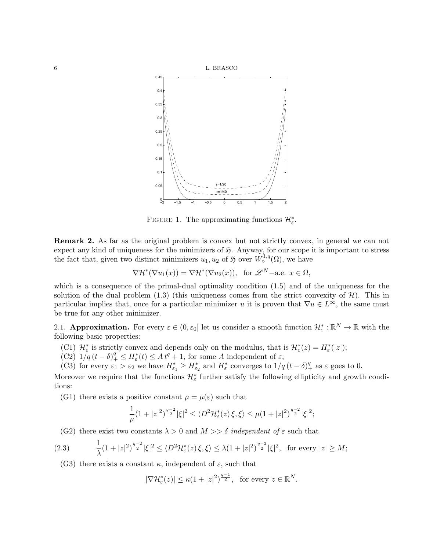

FIGURE 1. The approximating functions  $\mathcal{H}_{\varepsilon}^*$ .

Remark 2. As far as the original problem is convex but not strictly convex, in general we can not expect any kind of uniqueness for the minimizers of  $\mathfrak{H}$ . Anyway, for our scope it is important to stress the fact that, given two distinct minimizers  $u_1, u_2$  of  $\mathfrak{H}$  over  $W^{1,q}_\diamond(\Omega)$ , we have

$$
\nabla \mathcal{H}^*(\nabla u_1(x)) = \nabla \mathcal{H}^*(\nabla u_2(x)), \text{ for } \mathscr{L}^N-\text{a.e. } x \in \Omega,
$$

which is a consequence of the primal-dual optimality condition (1.5) and of the uniqueness for the solution of the dual problem  $(1.3)$  (this uniqueness comes from the strict convexity of  $\mathcal{H}$ ). This in particular implies that, once for a particular minimizer u it is proven that  $\nabla u \in L^{\infty}$ , the same must be true for any other minimizer.

2.1. **Approximation.** For every  $\varepsilon \in (0, \varepsilon_0]$  let us consider a smooth function  $\mathcal{H}_{\varepsilon}^* : \mathbb{R}^N \to \mathbb{R}$  with the following basic properties:

- (C1)  $\mathcal{H}_{\varepsilon}^*$  is strictly convex and depends only on the modulus, that is  $\mathcal{H}_{\varepsilon}^*(z) = H_{\varepsilon}^*(|z|);$
- $(C2)$   $1/q(t-\delta)^q + \leq H_{\varepsilon}^*(t) \leq A t^q + 1$ , for some A independent of  $\varepsilon$ ;
- (C3) for every  $\varepsilon_1 > \varepsilon_2$  we have  $H_{\varepsilon_1}^* \ge H_{\varepsilon_2}^*$  and  $H_{\varepsilon}^*$  converges to  $1/q(t-\delta)_+^q$  as  $\varepsilon$  goes to 0.

Moreover we require that the functions  $\mathcal{H}_{\varepsilon}^*$  further satisfy the following ellipticity and growth conditions:

(G1) there exists a positive constant  $\mu = \mu(\varepsilon)$  such that

$$
\frac{1}{\mu}(1+|z|^2)^{\frac{q-2}{2}}|\xi|^2 \le \langle D^2 \mathcal{H}_{\varepsilon}^*(z)\xi,\xi\rangle \le \mu(1+|z|^2)^{\frac{q-2}{2}}|\xi|^2;
$$

(G2) there exist two constants  $\lambda > 0$  and  $M >> \delta$  independent of  $\varepsilon$  such that

$$
(2.3) \qquad \frac{1}{\lambda}(1+|z|^2)^{\frac{q-2}{2}}|\xi|^2 \le \langle D^2 \mathcal{H}_{\varepsilon}^*(z)\,\xi,\xi\rangle \le \lambda(1+|z|^2)^{\frac{q-2}{2}}|\xi|^2, \text{ for every } |z| \ge M;
$$

(G3) there exists a constant  $\kappa$ , independent of  $\varepsilon$ , such that

 $|\nabla \mathcal{H}_{\varepsilon}^*(z)| \leq \kappa (1+|z|^2)^{\frac{q-1}{2}}, \text{ for every } z \in \mathbb{R}^N.$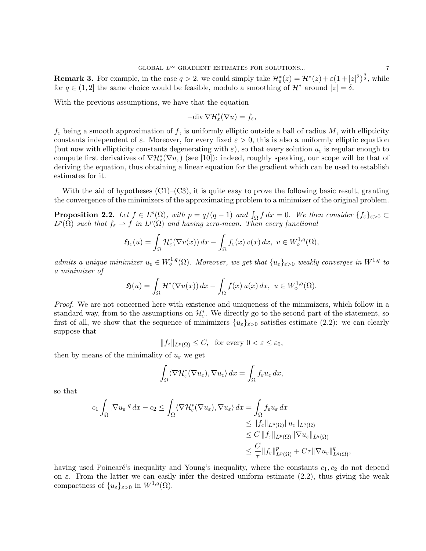**Remark 3.** For example, in the case  $q > 2$ , we could simply take  $\mathcal{H}_{\varepsilon}^*(z) = \mathcal{H}^*(z) + \varepsilon (1 + |z|^2)^{\frac{q}{2}}$ , while for  $q \in (1, 2]$  the same choice would be feasible, modulo a smoothing of  $\mathcal{H}^*$  around  $|z| = \delta$ .

With the previous assumptions, we have that the equation

$$
-\text{div}\,\nabla\mathcal{H}_{\varepsilon}^*(\nabla u)=f_{\varepsilon},
$$

 $f_{\varepsilon}$  being a smooth approximation of f, is uniformly elliptic outside a ball of radius M, with ellipticity constants independent of  $\varepsilon$ . Moreover, for every fixed  $\varepsilon > 0$ , this is also a uniformly elliptic equation (but now with ellipticity constants degenerating with  $\varepsilon$ ), so that every solution  $u_{\varepsilon}$  is regular enough to compute first derivatives of  $\nabla \mathcal{H}_{\varepsilon}^{*}(\nabla u_{\varepsilon})$  (see [10]): indeed, roughly speaking, our scope will be that of deriving the equation, thus obtaining a linear equation for the gradient which can be used to establish estimates for it.

With the aid of hypotheses  $(C1)$ – $(C3)$ , it is quite easy to prove the following basic result, granting the convergence of the minimizers of the approximating problem to a minimizer of the original problem.

**Proposition 2.2.** Let  $f \in L^p(\Omega)$ , with  $p = q/(q-1)$  and  $\int_{\Omega} f dx = 0$ . We then consider  $\{f_{\varepsilon}\}_{\varepsilon>0}$  $L^p(\Omega)$  such that  $f_{\varepsilon} \rightharpoonup f$  in  $L^p(\Omega)$  and having zero-mean. Then every functional

$$
\mathfrak{H}_{\varepsilon}(u) = \int_{\Omega} \mathcal{H}_{\varepsilon}^{*}(\nabla v(x)) dx - \int_{\Omega} f_{\varepsilon}(x) v(x) dx, \ v \in W_{\diamond}^{1,q}(\Omega),
$$

admits a unique minimizer  $u_{\varepsilon} \in W_0^{1,q}(\Omega)$ . Moreover, we get that  $\{u_{\varepsilon}\}_{{\varepsilon}>0}$  weakly converges in  $W^{1,q}$  to a minimizer of

$$
\mathfrak{H}(u) = \int_{\Omega} \mathcal{H}^*(\nabla u(x)) dx - \int_{\Omega} f(x) u(x) dx, \ u \in W^{1,q}_{\diamond}(\Omega).
$$

Proof. We are not concerned here with existence and uniqueness of the minimizers, which follow in a standard way, from to the assumptions on  $\mathcal{H}_{\varepsilon}^*$ . We directly go to the second part of the statement, so first of all, we show that the sequence of minimizers  $\{u_{\varepsilon}\}_{{\varepsilon}>0}$  satisfies estimate (2.2): we can clearly suppose that

 $||f_{\varepsilon}||_{L^{p}(\Omega)} \leq C$ , for every  $0 < \varepsilon \leq \varepsilon_0$ ,

then by means of the minimality of  $u_{\varepsilon}$  we get

$$
\int_{\Omega} \langle \nabla \mathcal{H}_{\varepsilon}^*(\nabla u_{\varepsilon}), \nabla u_{\varepsilon} \rangle \, dx = \int_{\Omega} f_{\varepsilon} u_{\varepsilon} \, dx,
$$

so that

$$
c_1 \int_{\Omega} |\nabla u_{\varepsilon}|^q dx - c_2 \le \int_{\Omega} \langle \nabla \mathcal{H}_{\varepsilon}^*(\nabla u_{\varepsilon}), \nabla u_{\varepsilon} \rangle dx = \int_{\Omega} f_{\varepsilon} u_{\varepsilon} dx
$$
  
\n
$$
\le \|f_{\varepsilon}\|_{L^p(\Omega)} \|u_{\varepsilon}\|_{L^q(\Omega)}
$$
  
\n
$$
\le C \, \|f_{\varepsilon}\|_{L^p(\Omega)} \| \nabla u_{\varepsilon}\|_{L^q(\Omega)}
$$
  
\n
$$
\le \frac{C}{\tau} \|f_{\varepsilon}\|_{L^p(\Omega)}^p + C\tau \| \nabla u_{\varepsilon}\|_{L^q(\Omega)}^q,
$$

having used Poincaré's inequality and Young's inequality, where the constants  $c_1, c_2$  do not depend on  $\varepsilon$ . From the latter we can easily infer the desired uniform estimate (2.2), thus giving the weak compactness of  $\{u_{\varepsilon}\}_{{\varepsilon}>0}$  in  $W^{1,q}(\Omega)$ .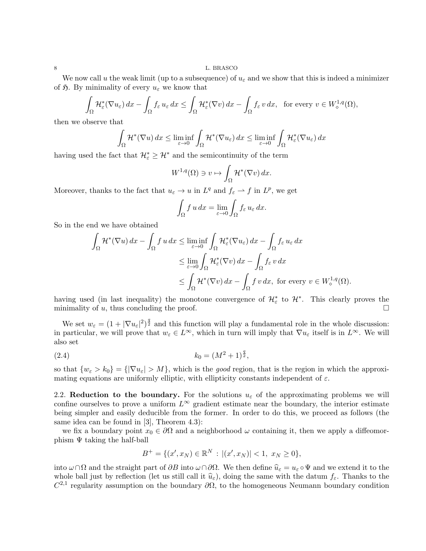We now call u the weak limit (up to a subsequence) of  $u_{\varepsilon}$  and we show that this is indeed a minimizer of  $\mathfrak{H}$ . By minimality of every  $u_{\varepsilon}$  we know that

$$
\int_{\Omega} \mathcal{H}_{\varepsilon}^{*}(\nabla u_{\varepsilon}) dx - \int_{\Omega} f_{\varepsilon} u_{\varepsilon} dx \leq \int_{\Omega} \mathcal{H}_{\varepsilon}^{*}(\nabla v) dx - \int_{\Omega} f_{\varepsilon} v dx, \text{ for every } v \in W_{\diamond}^{1,q}(\Omega),
$$

then we observe that

$$
\int_{\Omega} \mathcal{H}^*(\nabla u) dx \le \liminf_{\varepsilon \to 0} \int_{\Omega} \mathcal{H}^*(\nabla u_{\varepsilon}) dx \le \liminf_{\varepsilon \to 0} \int_{\Omega} \mathcal{H}^*_{\varepsilon}(\nabla u_{\varepsilon}) dx
$$

having used the fact that  $\mathcal{H}_{\varepsilon}^* \geq \mathcal{H}^*$  and the semicontinuity of the term

$$
W^{1,q}(\Omega) \ni v \mapsto \int_{\Omega} \mathcal{H}^*(\nabla v) \, dx.
$$

Moreover, thanks to the fact that  $u_{\varepsilon} \to u$  in  $L^q$  and  $f_{\varepsilon} \to f$  in  $L^p$ , we get

$$
\int_{\Omega} f u \, dx = \lim_{\varepsilon \to 0} \int_{\Omega} f_{\varepsilon} u_{\varepsilon} \, dx.
$$

So in the end we have obtained

$$
\int_{\Omega} \mathcal{H}^*(\nabla u) dx - \int_{\Omega} f u dx \le \liminf_{\varepsilon \to 0} \int_{\Omega} \mathcal{H}^*_{\varepsilon}(\nabla u_{\varepsilon}) dx - \int_{\Omega} f_{\varepsilon} u_{\varepsilon} dx
$$
  
\n
$$
\le \lim_{\varepsilon \to 0} \int_{\Omega} \mathcal{H}^*_{\varepsilon}(\nabla v) dx - \int_{\Omega} f_{\varepsilon} v dx
$$
  
\n
$$
\le \int_{\Omega} \mathcal{H}^*(\nabla v) dx - \int_{\Omega} f v dx, \text{ for every } v \in W^{1,q}_{\diamond}(\Omega).
$$

having used (in last inequality) the monotone convergence of  $\mathcal{H}_{\varepsilon}^*$  to  $\mathcal{H}^*$ . This clearly proves the minimality of  $u$ , thus concluding the proof.  $\Box$ 

We set  $w_{\varepsilon} = (1 + |\nabla u_{\varepsilon}|^2)^{\frac{q}{2}}$  and this function will play a fundamental role in the whole discussion: in particular, we will prove that  $w_{\varepsilon} \in L^{\infty}$ , which in turn will imply that  $\nabla u_{\varepsilon}$  itself is in  $L^{\infty}$ . We will also set

$$
(2.4) \t\t k_0 = (M^2 + 1)^{\frac{q}{2}},
$$

so that  $\{w_{\varepsilon} > k_0\} = {\vert \nabla u_{\varepsilon} \vert} > M$ , which is the good region, that is the region in which the approximating equations are uniformly elliptic, with ellipticity constants independent of  $\varepsilon$ .

2.2. Reduction to the boundary. For the solutions  $u_{\varepsilon}$  of the approximating problems we will confine ourselves to prove a uniform  $L^{\infty}$  gradient estimate near the boundary, the interior estimate being simpler and easily deducible from the former. In order to do this, we proceed as follows (the same idea can be found in [3], Theorem 4.3):

we fix a boundary point  $x_0 \in \partial\Omega$  and a neighborhood  $\omega$  containing it, then we apply a diffeomorphism  $\Psi$  taking the half-ball

$$
B^{+} = \{ (x', x_N) \in \mathbb{R}^{N} : |(x', x_N)| < 1, x_N \ge 0 \},
$$

into  $\omega \cap \Omega$  and the straight part of  $\partial B$  into  $\omega \cap \partial \Omega$ . We then define  $\widehat{u}_{\varepsilon} = u_{\varepsilon} \circ \Psi$  and we extend it to the whole ball just by reflection (let us still call it  $\hat{u}_{\varepsilon}$ ), doing the same with the datum  $f_{\varepsilon}$ . Thanks to the  $C^{2,1}$  regularity assumption on the boundary ∂Ω, to the homogeneous Neumann boundary condition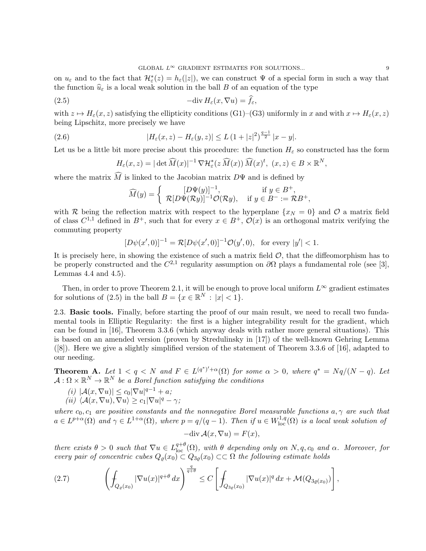on  $u_{\varepsilon}$  and to the fact that  $\mathcal{H}_{\varepsilon}^{*}(z) = h_{\varepsilon}(|z|)$ , we can construct  $\Psi$  of a special form in such a way that the function  $\widehat{u}_{\varepsilon}$  is a local weak solution in the ball B of an equation of the type

(2.5) 
$$
-\text{div}\,H_{\varepsilon}(x,\nabla u)=\widehat{f}_{\varepsilon},
$$

with  $z \mapsto H_{\varepsilon}(x, z)$  satisfying the ellipticity conditions (G1)–(G3) uniformly in x and with  $x \mapsto H_{\varepsilon}(x, z)$ being Lipschitz, more precisely we have

(2.6) 
$$
|H_{\varepsilon}(x,z) - H_{\varepsilon}(y,z)| \leq L (1+|z|^2)^{\frac{q-1}{2}} |x-y|.
$$

Let us be a little bit more precise about this procedure: the function  $H_{\varepsilon}$  so constructed has the form

$$
H_{\varepsilon}(x,z) = |\det \widehat{M}(x)|^{-1} \nabla \mathcal{H}_{\varepsilon}^{*}(z \widehat{M}(x)) \widehat{M}(x)^{t}, \ (x,z) \in B \times \mathbb{R}^{N},
$$

where the matrix M is linked to the Jacobian matrix  $D\Psi$  and is defined by

$$
\widehat{M}(y) = \begin{cases}\n[D\Psi(y)]^{-1}, & \text{if } y \in B^+, \\
\mathcal{R}[D\Psi(\mathcal{R}y)]^{-1}\mathcal{O}(\mathcal{R}y), & \text{if } y \in B^- := \mathcal{R}B^+, \n\end{cases}
$$

with R being the reflection matrix with respect to the hyperplane  $\{x_N = 0\}$  and O a matrix field of class  $C^{1,1}$  defined in  $B^+$ , such that for every  $x \in B^+$ ,  $\mathcal{O}(x)$  is an orthogonal matrix verifying the commuting property

$$
[D\psi(x',0)]^{-1} = \mathcal{R}[D\psi(x',0)]^{-1}\mathcal{O}(y',0), \text{ for every } |y'| < 1.
$$

It is precisely here, in showing the existence of such a matrix field  $\mathcal{O}$ , that the diffeomorphism has to be properly constructed and the  $C^{2,1}$  regularity assumption on  $\partial\Omega$  plays a fundamental role (see [3], Lemmas 4.4 and 4.5).

Then, in order to prove Theorem 2.1, it will be enough to prove local uniform  $L^{\infty}$  gradient estimates for solutions of  $(2.5)$  in the ball  $B = \{x \in \mathbb{R}^N : |x| < 1\}.$ 

2.3. Basic tools. Finally, before starting the proof of our main result, we need to recall two fundamental tools in Elliptic Regularity: the first is a higher integrability result for the gradient, which can be found in [16], Theorem 3.3.6 (which anyway deals with rather more general situations). This is based on an amended version (proven by Stredulinsky in [17]) of the well-known Gehring Lemma ([8]). Here we give a slightly simplified version of the statement of Theorem 3.3.6 of [16], adapted to our needing.

**Theorem A.** Let  $1 < q < N$  and  $F \in L^{(q^*)'+\alpha}(\Omega)$  for some  $\alpha > 0$ , where  $q^* = Nq/(N-q)$ . Let  $\mathcal{A}: \Omega \times \mathbb{R}^N \to \mathbb{R}^N$  be a Borel function satisfying the conditions

- (i)  $|\mathcal{A}(x,\nabla u)| \leq c_0 |\nabla u|^{q-1} + a;$
- (ii)  $\langle \mathcal{A}(x,\nabla u), \nabla u \rangle \geq c_1 |\nabla u|^q \gamma;$

where  $c_0, c_1$  are positive constants and the nonnegative Borel measurable functions  $a, \gamma$  are such that  $a \in L^{p+\alpha}(\Omega)$  and  $\gamma \in L^{1+\alpha}(\Omega)$ , where  $p = q/(q-1)$ . Then if  $u \in W^{1,q}_{loc}(\Omega)$  is a local weak solution of

$$
-\text{div}\,\mathcal{A}(x,\nabla u) = F(x),
$$

there exists  $\theta > 0$  such that  $\nabla u \in L^{q+\theta}_{loc}(\Omega)$ , with  $\theta$  depending only on  $N, q, c_0$  and  $\alpha$ . Moreover, for every pair of concentric cubes  $Q_{\varrho}(x_0) \subset Q_{3\varrho}(x_0) \subset \subset \Omega$  the following estimate holds

$$
(2.7) \qquad \left(\int_{Q_{\varrho}(x_0)}|\nabla u(x)|^{q+\theta}\,dx\right)^{\frac{q}{q+\theta}} \le C\left[\int_{Q_{3\varrho}(x_0)}|\nabla u(x)|^q\,dx + \mathcal{M}(Q_{3\varrho(x_0)})\right],
$$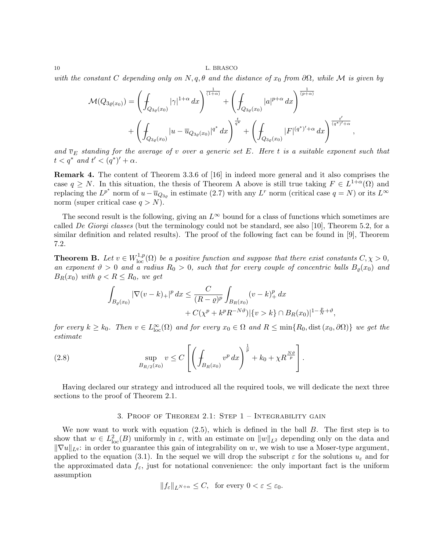with the constant C depending only on  $N, q, \theta$  and the distance of  $x_0$  from  $\partial\Omega$ , while M is given by

$$
\mathcal{M}(Q_{3\varrho(x_0)}) = \left(\int_{Q_{3\varrho}(x_0)} |\gamma|^{1+\alpha} dx\right)^{\frac{1}{(1+\alpha)}} + \left(\int_{Q_{3\varrho}(x_0)} |a|^{p+\alpha} dx\right)^{\frac{1}{(p+\alpha)}} + \left(\int_{Q_{3\varrho}(x_0)} |u - \overline{u}_{Q_{3\varrho}(x_0)}|^{q^*} dx\right)^{\frac{t}{q^*}} + \left(\int_{Q_{3\varrho}(x_0)} |F|^{(q^*)'+\alpha} dx\right)^{\frac{t'}{(q^*)'+\alpha}},
$$

and  $\overline{v}_E$  standing for the average of v over a generic set E. Here t is a suitable exponent such that  $t < q^*$  and  $t' < (q^*)' + \alpha$ .

Remark 4. The content of Theorem 3.3.6 of [16] in indeed more general and it also comprises the case  $q \geq N$ . In this situation, the thesis of Theorem A above is still true taking  $F \in L^{1+\alpha}(\Omega)$  and replacing the  $L^{p^*}$  norm of  $u - \overline{u}_{Q_{3g}}$  in estimate (2.7) with any  $L^r$  norm (critical case  $q = N$ ) or its  $L^{\infty}$ norm (super critical case  $q > N$ ).

The second result is the following, giving an  $L^{\infty}$  bound for a class of functions which sometimes are called De Giorgi classes (but the terminology could not be standard, see also [10], Theorem 5.2, for a similar definition and related results). The proof of the following fact can be found in [9], Theorem 7.2.

**Theorem B.** Let  $v \in W^{1,p}_{loc}(\Omega)$  be a positive function and suppose that there exist constants  $C, \chi > 0$ , an exponent  $\vartheta > 0$  and a radius  $R_0 > 0$ , such that for every couple of concentric balls  $B_o(x_0)$  and  $B_R(x_0)$  with  $\rho < R \le R_0$ , we get

$$
\int_{B_{\varrho}(x_0)} |\nabla (v - k)_+|^p dx \le \frac{C}{(R - \varrho)^p} \int_{B_R(x_0)} (v - k)_+^p dx + C(\chi^p + k^p R^{-N\vartheta}) |\{v > k\} \cap B_R(x_0)|^{1 - \frac{p}{N} + \vartheta},
$$

for every  $k \geq k_0$ . Then  $v \in L^{\infty}_{loc}(\Omega)$  and for every  $x_0 \in \Omega$  and  $R \leq min\{R_0, dist(x_0, \partial \Omega)\}\$  we get the estimate

(2.8) 
$$
\sup_{B_{R/2}(x_0)} v \leq C \left[ \left( \int_{B_R(x_0)} v^p dx \right)^{\frac{1}{p}} + k_0 + \chi R^{\frac{N\vartheta}{p}} \right].
$$

Having declared our strategy and introduced all the required tools, we will dedicate the next three sections to the proof of Theorem 2.1.

#### 3. PROOF OF THEOREM 2.1: STEP  $1$  – INTEGRABILITY GAIN

We now want to work with equation  $(2.5)$ , which is defined in the ball B. The first step is to show that  $w \in L^2_{loc}(B)$  uniformly in  $\varepsilon$ , with an estimate on  $||w||_{L^2}$  depending only on the data and  $\|\nabla u\|_{L^q}$ : in order to guarantee this gain of integrability on w, we wish to use a Moser-type argument, applied to the equation (3.1). In the sequel we will drop the subscript  $\varepsilon$  for the solutions  $u_{\varepsilon}$  and for the approximated data  $f_{\varepsilon}$ , just for notational convenience: the only important fact is the uniform assumption

$$
||f_{\varepsilon}||_{L^{N+\alpha}} \leq C, \text{ for every } 0 < \varepsilon \leq \varepsilon_0.
$$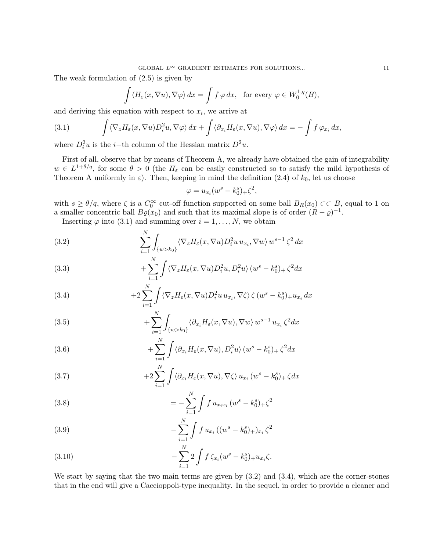The weak formulation of (2.5) is given by

$$
\int \langle H_{\varepsilon}(x,\nabla u), \nabla \varphi \rangle dx = \int f \varphi dx, \text{ for every } \varphi \in W_0^{1,q}(B),
$$

and deriving this equation with respect to  $x_i$ , we arrive at

(3.1) 
$$
\int \langle \nabla_z H_{\varepsilon}(x, \nabla u) D_i^2 u, \nabla \varphi \rangle dx + \int \langle \partial_{x_i} H_{\varepsilon}(x, \nabla u), \nabla \varphi \rangle dx = - \int f \varphi_{x_i} dx,
$$

where  $D_i^2 u$  is the *i*-th column of the Hessian matrix  $D^2 u$ .

First of all, observe that by means of Theorem A, we already have obtained the gain of integrability  $w \in L^{1+\theta/q}$ , for some  $\theta > 0$  (the  $H_{\varepsilon}$  can be easily constructed so to satisfy the mild hypothesis of Theorem A uniformly in  $\varepsilon$ ). Then, keeping in mind the definition (2.4) of  $k_0$ , let us choose

$$
\varphi = u_{x_i}(w^s - k_0^s)_{+} \zeta^2,
$$

with  $s \ge \theta/q$ , where  $\zeta$  is a  $C_0^{\infty}$  cut-off function supported on some ball  $B_R(x_0) \subset\subset B$ , equal to 1 on a smaller concentric ball  $B\varrho(x_0)$  and such that its maximal slope is of order  $(R - \varrho)^{-1}$ .

Inserting  $\varphi$  into (3.1) and summing over  $i = 1, ..., N$ , we obtain

(3.2) 
$$
\sum_{i=1}^{N} \int_{\{w > k_0\}} \langle \nabla_z H_{\varepsilon}(x, \nabla u) D_i^2 u u_{x_i}, \nabla w \rangle w^{s-1} \zeta^2 dx
$$

(3.3) 
$$
+\sum_{i=1}^{N}\int \langle \nabla_{z}H_{\varepsilon}(x,\nabla u)D_{i}^{2}u,D_{i}^{2}u\rangle (w^{s}-k_{0}^{s})_{+}\zeta^{2}dx
$$

(3.4) 
$$
+2\sum_{i=1}^N \int \langle \nabla_z H_{\varepsilon}(x,\nabla u)D_i^2 u u_{x_i}, \nabla \zeta \rangle \zeta (w^s - k_0^s) + u_{x_i} dx
$$

(3.5) 
$$
+ \sum_{i=1}^{N} \int_{\{w > k_0\}} \langle \partial_{x_i} H_{\varepsilon}(x, \nabla u), \nabla w \rangle w^{s-1} u_{x_i} \zeta^2 dx
$$

(3.6) 
$$
+\sum_{i=1}^{N}\int \langle \partial_{x_i} H_{\varepsilon}(x,\nabla u), D_i^2 u \rangle (w^s - k_0^s)_{+} \zeta^2 dx
$$

(3.7) 
$$
+2\sum_{i=1}^{N}\int\langle\partial_{x_{i}}H_{\varepsilon}(x,\nabla u),\nabla\zeta\rangle u_{x_{i}}(w^{s}-k_{0}^{s})+\zeta dx
$$

(3.8) 
$$
= -\sum_{i=1}^{N} \int f u_{x_i x_i} (w^s - k_0^s)_{+} \zeta^2
$$

(3.9) 
$$
-\sum_{i=1}^{N} \int f u_{x_i} ((w^s - k_0^s)_{+})_{x_i} \zeta^2
$$

(3.10) 
$$
-\sum_{i=1}^{N} 2 \int f \zeta_{x_i}(w^s - k_0^s)_{+} u_{x_i} \zeta.
$$

We start by saying that the two main terms are given by (3.2) and (3.4), which are the corner-stones that in the end will give a Caccioppoli-type inequality. In the sequel, in order to provide a cleaner and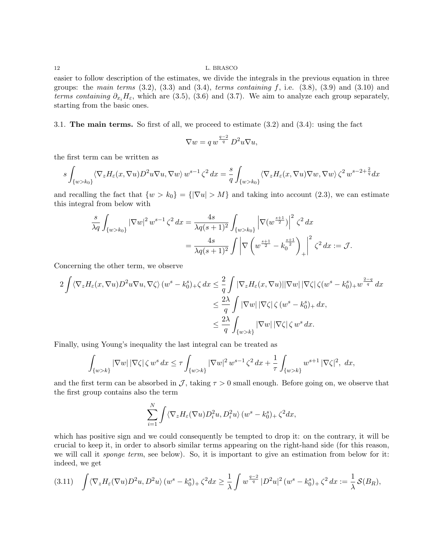easier to follow description of the estimates, we divide the integrals in the previous equation in three groups: the main terms  $(3.2)$ ,  $(3.3)$  and  $(3.4)$ , terms containing f, i.e.  $(3.8)$ ,  $(3.9)$  and  $(3.10)$  and terms containing  $\partial_{x_i}H_{\varepsilon}$ , which are (3.5), (3.6) and (3.7). We aim to analyze each group separately, starting from the basic ones.

3.1. The main terms. So first of all, we proceed to estimate (3.2) and (3.4): using the fact

$$
\nabla w = q w^{\frac{q-2}{q}} D^2 u \nabla u,
$$

the first term can be written as

$$
s\int_{\{w>k_0\}} \langle \nabla_z H_{\varepsilon}(x,\nabla u)D^2 u \nabla u, \nabla w \rangle w^{s-1} \zeta^2 dx = \frac{s}{q} \int_{\{w>k_0\}} \langle \nabla_z H_{\varepsilon}(x,\nabla u) \nabla w, \nabla w \rangle \zeta^2 w^{s-2+\frac{2}{q}} dx
$$

and recalling the fact that  $\{w > k_0\} = {\{\vert \nabla u \vert > M\}}$  and taking into account (2.3), we can estimate this integral from below with

$$
\frac{s}{\lambda q} \int_{\{w > k_0\}} |\nabla w|^2 w^{s-1} \zeta^2 dx = \frac{4s}{\lambda q(s+1)^2} \int_{\{w > k_0\}} \left| \nabla (w^{\frac{s+1}{2}}) \right|^2 \zeta^2 dx
$$
  
= 
$$
\frac{4s}{\lambda q(s+1)^2} \int \left| \nabla \left( w^{\frac{s+1}{2}} - k_0^{\frac{s+1}{2}} \right) \right|^2 \zeta^2 dx := \mathcal{J}.
$$

Concerning the other term, we observe

$$
2\int \langle \nabla_z H_{\varepsilon}(x, \nabla u) D^2 u \nabla u, \nabla \zeta \rangle (w^s - k_0^s)_{+} \zeta dx \leq \frac{2}{q} \int |\nabla_z H_{\varepsilon}(x, \nabla u)| |\nabla w| |\nabla \zeta| \zeta (w^s - k_0^s)_{+} w^{\frac{2-q}{q}} dx
$$
  

$$
\leq \frac{2\lambda}{q} \int |\nabla w| |\nabla \zeta| \zeta (w^s - k_0^s)_{+} dx,
$$
  

$$
\leq \frac{2\lambda}{q} \int_{\{w > k\}} |\nabla w| |\nabla \zeta| \zeta w^s dx.
$$

Finally, using Young's inequality the last integral can be treated as

$$
\int_{\{w>k\}} |\nabla w| |\nabla \zeta| \zeta w^s dx \le \tau \int_{\{w>k\}} |\nabla w|^2 w^{s-1} \zeta^2 dx + \frac{1}{\tau} \int_{\{w>k\}} w^{s+1} |\nabla \zeta|^2, dx,
$$

and the first term can be absorbed in  $\mathcal{J}$ , taking  $\tau > 0$  small enough. Before going on, we observe that the first group contains also the term

$$
\sum_{i=1}^N \int \langle \nabla_z H_{\varepsilon}(\nabla u) D_i^2 u, D_i^2 u \rangle (w^s - k_0^s)_+ \zeta^2 dx,
$$

which has positive sign and we could consequently be tempted to drop it: on the contrary, it will be crucial to keep it, in order to absorb similar terms appearing on the right-hand side (for this reason, we will call it *sponge term*, see below). So, it is important to give an estimation from below for it: indeed, we get

$$
(3.11) \quad \int \langle \nabla_z H_{\varepsilon}(\nabla u) D^2 u, D^2 u \rangle (w^s - k_0^s) + \zeta^2 dx \ge \frac{1}{\lambda} \int w^{\frac{q-2}{q}} |D^2 u|^2 (w^s - k_0^s) + \zeta^2 dx := \frac{1}{\lambda} \mathcal{S}(B_R),
$$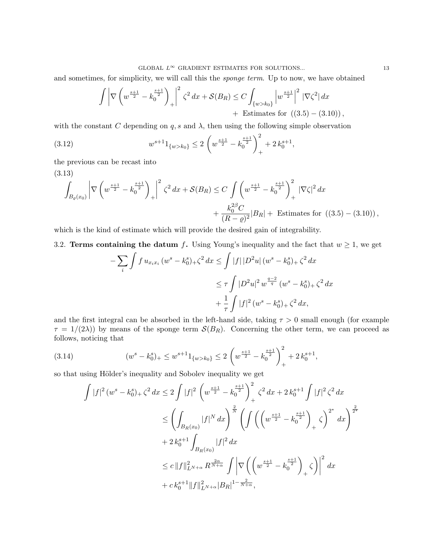and sometimes, for simplicity, we will call this the *sponge term*. Up to now, we have obtained

$$
\int \left| \nabla \left( w^{\frac{s+1}{2}} - k_0^{\frac{s+1}{2}} \right)_{+} \right|^2 \zeta^2 dx + \mathcal{S}(B_R) \le C \int_{\{w > k_0\}} \left| w^{\frac{s+1}{2}} \right|^2 \left| \nabla \zeta^2 \right| dx
$$
  
+ Estimates for ((3.5) – (3.10)),

with the constant C depending on  $q$ , s and  $\lambda$ , then using the following simple observation

(3.12) 
$$
w^{s+1}1_{\{w>k_0\}} \le 2\left(w^{\frac{s+1}{2}} - k_0^{\frac{s+1}{2}}\right)_+^2 + 2k_0^{s+1},
$$

the previous can be recast into

(3.13)

$$
\int_{B_{\varrho}(x_0)} \left| \nabla \left( w^{\frac{s+1}{2}} - k_0^{\frac{s+1}{2}} \right)_{+} \right|^2 \zeta^2 dx + \mathcal{S}(B_R) \le C \int \left( w^{\frac{s+1}{2}} - k_0^{\frac{s+1}{2}} \right)_+^2 |\nabla \zeta|^2 dx \n+ \frac{k_0^{2\beta} C}{(R - \varrho)^2} |B_R| + \text{ Estimates for } ((3.5) - (3.10)),
$$

which is the kind of estimate which will provide the desired gain of integrability.

3.2. Terms containing the datum f. Using Young's inequality and the fact that  $w \ge 1$ , we get

$$
-\sum_{i} \int f u_{x_i x_i} (w^s - k_0^s)_{+} \zeta^2 dx \le \int |f| |D^2 u| (w^s - k_0^s)_{+} \zeta^2 dx
$$
  

$$
\le \tau \int |D^2 u|^2 w^{\frac{q-2}{q}} (w^s - k_0^s)_{+} \zeta^2 dx
$$
  

$$
+ \frac{1}{\tau} \int |f|^2 (w^s - k_0^s)_{+} \zeta^2 dx,
$$

and the first integral can be absorbed in the left-hand side, taking  $\tau > 0$  small enough (for example  $\tau = 1/(2\lambda)$  by means of the sponge term  $S(B_R)$ . Concerning the other term, we can proceed as follows, noticing that

(3.14) 
$$
(w^{s} - k_{0}^{s})_{+} \leq w^{s+1} 1_{\{w > k_{0}\}} \leq 2 \left(w^{\frac{s+1}{2}} - k_{0}^{\frac{s+1}{2}}\right)_{+}^{2} + 2 k_{0}^{s+1},
$$

so that using Hölder's inequality and Sobolev inequality we get

$$
\int |f|^2 (w^s - k_0^s)_{+} \zeta^2 dx \le 2 \int |f|^2 \left( w^{\frac{s+1}{2}} - k_0^{\frac{s+1}{2}} \right)_+^2 \zeta^2 dx + 2 k_0^{s+1} \int |f|^2 \zeta^2 dx
$$
  

$$
\le \left( \int_{B_R(x_0)} |f|^N dx \right)_+^{\frac{2}{N}} \left( \int \left( \left( w^{\frac{s+1}{2}} - k_0^{\frac{s+1}{2}} \right)_+ \zeta \right)^{2^*} dx \right)^{\frac{2}{2^*}}
$$
  

$$
+ 2 k_0^{s+1} \int_{B_R(x_0)} |f|^2 dx
$$
  

$$
\le c \|f\|_{L^{N+\alpha}}^2 R^{\frac{2\alpha}{N+\alpha}} \int \left| \nabla \left( \left( w^{\frac{s+1}{2}} - k_0^{\frac{s+1}{2}} \right)_+ \zeta \right) \right|^2 dx
$$
  

$$
+ c k_0^{s+1} \|f\|_{L^{N+\alpha}}^2 |B_R|^{1-\frac{2}{N+\alpha}},
$$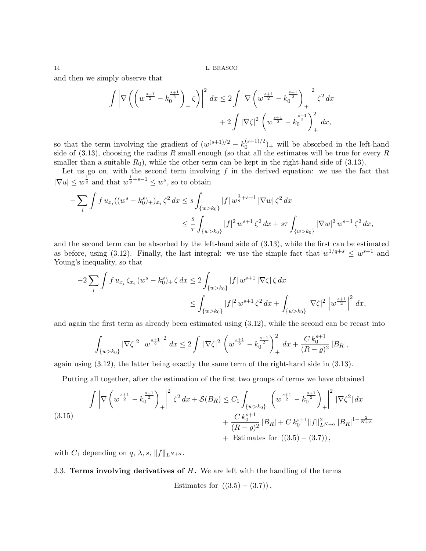and then we simply observe that

$$
\int \left| \nabla \left( \left( w^{\frac{s+1}{2}} - k_0^{\frac{s+1}{2}} \right)_+ \zeta \right) \right|^2 dx \le 2 \int \left| \nabla \left( w^{\frac{s+1}{2}} - k_0^{\frac{s+1}{2}} \right)_+ \right|^2 \zeta^2 dx
$$
  
+ 2 \int |\nabla \zeta|^2 \left( w^{\frac{s+1}{2}} - k\_0^{\frac{s+1}{2}} \right)\_+^2 dx,

so that the term involving the gradient of  $(w^{(s+1)/2} - k_0^{(s+1)/2})$  $\binom{(s+1)/2}{0}$  will be absorbed in the left-hand side of  $(3.13)$ , choosing the radius R small enough (so that all the estimates will be true for every R smaller than a suitable  $R_0$ , while the other term can be kept in the right-hand side of (3.13).

Let us go on, with the second term involving  $f$  in the derived equation: we use the fact that  $|\nabla u| \leq w^{\frac{1}{q}}$  and that  $w^{\frac{1}{q}+s-1} \leq w^s$ , so to obtain

$$
-\sum_{i} \int f u_{x_i} ((w^s - k_0^s)_{+})_{x_i} \zeta^2 dx \le s \int_{\{w > k_0\}} |f| \, w^{\frac{1}{q} + s - 1} \, |\nabla w| \, \zeta^2 dx
$$
  

$$
\le \frac{s}{\tau} \int_{\{w > k_0\}} |f|^{2} \, w^{s+1} \, \zeta^2 dx + s\tau \int_{\{w > k_0\}} |\nabla w|^{2} \, w^{s-1} \, \zeta^2 dx,
$$

and the second term can be absorbed by the left-hand side of (3.13), while the first can be estimated as before, using (3.12). Finally, the last integral: we use the simple fact that  $w^{1/q+s} \leq w^{s+1}$  and Young's inequality, so that

$$
-2\sum_{i}\int f u_{x_{i}}\zeta_{x_{i}}(w^{s}-k_{0}^{s})_{+}\zeta dx \le 2\int_{\{w>k_{0}\}}|f|w^{s+1}|\nabla\zeta|\zeta dx
$$
  

$$
\le \int_{\{w>k_{0}\}}|f|^{2}w^{s+1}\zeta^{2} dx + \int_{\{w>k_{0}\}}|\nabla\zeta|^{2}\left|w^{\frac{s+1}{2}}\right|^{2} dx,
$$

and again the first term as already been estimated using (3.12), while the second can be recast into

$$
\int_{\{w>k_0\}} |\nabla \zeta|^2 \left| w^{\frac{s+1}{2}} \right|^2 dx \le 2 \int |\nabla \zeta|^2 \left( w^{\frac{s+1}{2}} - k_0^{\frac{s+1}{2}} \right)_+^2 dx + \frac{C k_0^{s+1}}{(R-\varrho)^2} |B_R|,
$$

again using (3.12), the latter being exactly the same term of the right-hand side in (3.13).

Putting all together, after the estimation of the first two groups of terms we have obtained

$$
\int \left| \nabla \left( w^{\frac{s+1}{2}} - k_0^{\frac{s+1}{2}} \right)_{+} \right|^2 \zeta^2 dx + \mathcal{S}(B_R) \le C_1 \int_{\{w > k_0\}} \left| \left( w^{\frac{s+1}{2}} - k_0^{\frac{s+1}{2}} \right)_{+} \right|^2 |\nabla \zeta^2| dx
$$
\n
$$
+ \frac{C k_0^{s+1}}{(R - \varrho)^2} |B_R| + C k_0^{s+1} \|f\|_{L^{N+\alpha}}^2 |B_R|^{1 - \frac{2}{N+\alpha}}
$$
\n+ Estimates for ((3.5) - (3.7)),

with  $C_1$  depending on q,  $\lambda$ , s,  $||f||_{L^{N+\alpha}}$ .

### 3.3. Terms involving derivatives of  $H$ . We are left with the handling of the terms

Estimates for  $((3.5) - (3.7))$ ,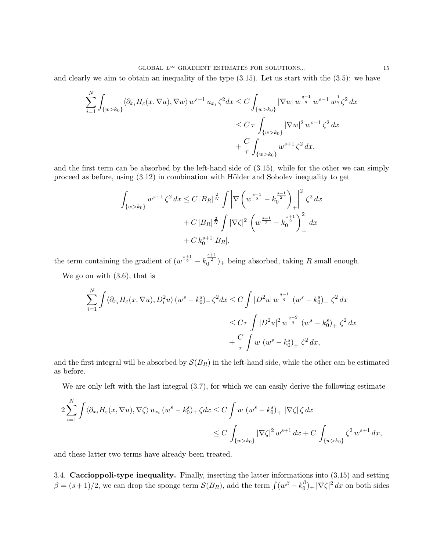and clearly we aim to obtain an inequality of the type (3.15). Let us start with the (3.5): we have

$$
\sum_{i=1}^{N} \int_{\{w > k_0\}} \langle \partial_{x_i} H_{\varepsilon}(x, \nabla u), \nabla w \rangle w^{s-1} u_{x_i} \zeta^2 dx \le C \int_{\{w > k_0\}} |\nabla w| w^{\frac{q-1}{q}} w^{s-1} w^{\frac{1}{q}} \zeta^2 dx
$$
  

$$
\le C \tau \int_{\{w > k_0\}} |\nabla w|^2 w^{s-1} \zeta^2 dx
$$
  

$$
+ \frac{C}{\tau} \int_{\{w > k_0\}} w^{s+1} \zeta^2 dx,
$$

and the first term can be absorbed by the left-hand side of (3.15), while for the other we can simply proceed as before, using  $(3.12)$  in combination with Hölder and Sobolev inequality to get

$$
\int_{\{w > k_0\}} w^{s+1} \zeta^2 dx \le C |B_R|^{\frac{2}{N}} \int \left| \nabla \left( w^{\frac{s+1}{2}} - k_0^{\frac{s+1}{2}} \right)_+ \right|^2 \zeta^2 dx
$$
  
+  $C |B_R|^{\frac{2}{N}} \int |\nabla \zeta|^2 \left( w^{\frac{s+1}{2}} - k_0^{\frac{s+1}{2}} \right)_+^2 dx$   
+  $C k_0^{s+1} |B_R|$ ,

the term containing the gradient of  $(w^{\frac{s+1}{2}} - k_0^{\frac{s+1}{2}})_+$  being absorbed, taking R small enough.

We go on with (3.6), that is

$$
\sum_{i=1}^{N} \int \langle \partial_{x_i} H_{\varepsilon}(x, \nabla u), D_i^2 u \rangle (w^s - k_0^s)_{+} \zeta^2 dx \le C \int |D^2 u| w^{\frac{q-1}{q}} (w^s - k_0^s)_{+} \zeta^2 dx
$$
  

$$
\le C \tau \int |D^2 u|^2 w^{\frac{q-2}{q}} (w^s - k_0^s)_{+} \zeta^2 dx
$$
  

$$
+ \frac{C}{\tau} \int w (w^s - k_0^s)_{+} \zeta^2 dx,
$$

and the first integral will be absorbed by  $\mathcal{S}(B_R)$  in the left-hand side, while the other can be estimated as before.

We are only left with the last integral  $(3.7)$ , for which we can easily derive the following estimate

$$
2\sum_{i=1}^{N} \int \langle \partial_{x_i} H_{\varepsilon}(x, \nabla u), \nabla \zeta \rangle u_{x_i} \left( w^s - k_0^s \right)_{+} \zeta dx \le C \int w \left( w^s - k_0^s \right)_{+} |\nabla \zeta| \zeta dx
$$
  

$$
\le C \int_{\{w > k_0\}} |\nabla \zeta|^2 w^{s+1} dx + C \int_{\{w > k_0\}} \zeta^2 w^{s+1} dx,
$$

and these latter two terms have already been treated.

3.4. Caccioppoli-type inequality. Finally, inserting the latter informations into (3.15) and setting  $\beta = (s+1)/2$ , we can drop the sponge term  $\mathcal{S}(B_R)$ , add the term  $\int (w^{\beta} - k_0^{\beta})$  $\int_0^\beta$ <sub>1</sub> | $\nabla \zeta$ <sup>2</sup> dx on both sides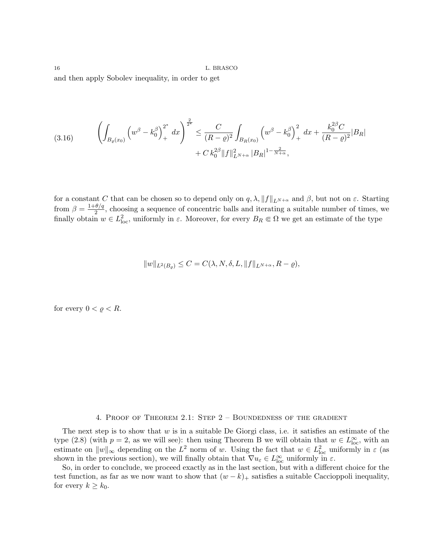and then apply Sobolev inequality, in order to get

$$
(3.16) \qquad \left(\int_{B_{\varrho}(x_0)} \left(w^{\beta} - k_0^{\beta}\right)_+^{2^*} dx\right)^{\frac{2}{2^*}} \leq \frac{C}{(R-\varrho)^2} \int_{B_R(x_0)} \left(w^{\beta} - k_0^{\beta}\right)_+^{2^*} dx + \frac{k_0^{2\beta}C}{(R-\varrho)^2} |B_R| + C k_0^{2\beta} \|f\|_{L^{N+\alpha}}^2 |B_R|^{1-\frac{2}{N+\alpha}},
$$

for a constant C that can be chosen so to depend only on  $q, \lambda, \|f\|_{L^{N+\alpha}}$  and  $\beta$ , but not on  $\varepsilon$ . Starting from  $\beta = \frac{1+\theta/q}{2}$  $\frac{\partial^2 u}{\partial x^2}$ , choosing a sequence of concentric balls and iterating a suitable number of times, we finally obtain  $w \in L^2_{loc}$ , uniformly in  $\varepsilon$ . Moreover, for every  $B_R \Subset \Omega$  we get an estimate of the type

$$
||w||_{L^2(B_\varrho)} \le C = C(\lambda, N, \delta, L, ||f||_{L^{N+\alpha}}, R-\varrho),
$$

for every  $0 < \varrho < R$ .

# 4. Proof of Theorem 2.1: Step 2 – Boundedness of the gradient

The next step is to show that  $w$  is in a suitable De Giorgi class, i.e. it satisfies an estimate of the type (2.8) (with  $p = 2$ , as we will see): then using Theorem B we will obtain that  $w \in L^{\infty}_{loc}$ , with an estimate on  $||w||_{\infty}$  depending on the  $L^2$  norm of w. Using the fact that  $w \in L^2_{loc}$  uniformly in  $\varepsilon$  (as shown in the previous section), we will finally obtain that  $\nabla u_{\varepsilon} \in L^{\infty}_{loc}$  uniformly in  $\varepsilon$ .

So, in order to conclude, we proceed exactly as in the last section, but with a different choice for the test function, as far as we now want to show that  $(w - k)$  satisfies a suitable Caccioppoli inequality, for every  $k \geq k_0$ .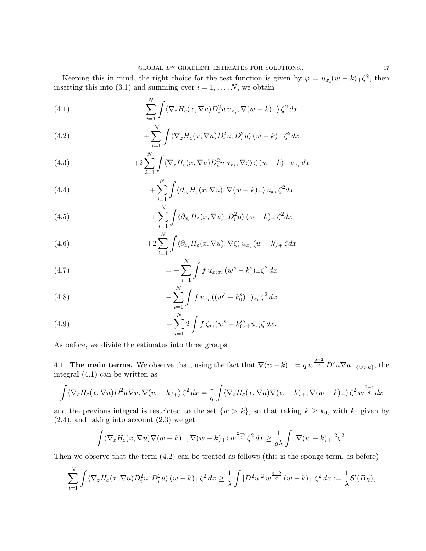Keeping this in mind, the right choice for the test function is given by  $\varphi = u_{x_i}(w - k) + \zeta^2$ , then inserting this into (3.1) and summing over  $i = 1, \ldots, N$ , we obtain

(4.1) 
$$
\sum_{i=1}^{N} \int \langle \nabla_z H_{\varepsilon}(x, \nabla u) D_i^2 u u_{x_i}, \nabla (w - k)_+ \rangle \zeta^2 dx
$$

(4.2) 
$$
+\sum_{i=1}^{N}\int \langle \nabla_{z}H_{\varepsilon}(x,\nabla u)D_{i}^{2}u,D_{i}^{2}u\rangle (w-k)_{+}\zeta^{2}dx
$$

(4.3) 
$$
+2\sum_{i=1}^{N}\int \langle \nabla_z H_{\varepsilon}(x,\nabla u)D_i^2 u u_{x_i}, \nabla \zeta \rangle \zeta (w-k) + u_{x_i} dx
$$

(4.4) 
$$
+ \sum_{i=1}^{N} \int \langle \partial_{x_i} H_{\varepsilon}(x, \nabla u), \nabla (w - k)_+ \rangle u_{x_i} \zeta^2 dx
$$

(4.5) 
$$
+\sum_{i=1}^{N}\int \langle \partial_{x_i} H_{\varepsilon}(x,\nabla u), D_i^2 u \rangle (w-k)_{+} \zeta^2 dx
$$

(4.6) 
$$
+2\sum_{i=1}^{N}\int \langle \partial_{x_i} H_{\varepsilon}(x,\nabla u), \nabla \zeta \rangle u_{x_i}(w-k)_{+} \zeta dx
$$

(4.7) 
$$
= -\sum_{i=1}^{N} \int f u_{x_i x_i} (w^s - k_0^s)_+ \zeta^2 dx
$$

(4.8) 
$$
-\sum_{i=1}^{N} \int f u_{x_i} \left( (w^s - k_0^s)_{+} \right)_{x_i} \zeta^2 dx
$$

(4.9) 
$$
-\sum_{i=1}^{N} 2 \int f \zeta_{x_i}(w^s - k_0^s) + u_{x_i} \zeta dx.
$$

As before, we divide the estimates into three groups.

4.1. The main terms. We observe that, using the fact that  $\nabla(w-k)_+ = q w^{\frac{q-2}{q}} D^2 w \nabla u 1_{\{w>k\}}$ , the integral (4.1) can be written as

$$
\int \langle \nabla_z H_{\varepsilon}(x, \nabla u) D^2 u \nabla u, \nabla (w - k)_+ \rangle \zeta^2 dx = \frac{1}{q} \int \langle \nabla_z H_{\varepsilon}(x, \nabla u) \nabla (w - k)_+, \nabla (w - k)_+ \rangle \zeta^2 w^{\frac{2-q}{q}} dx
$$

and the previous integral is restricted to the set  $\{w > k\}$ , so that taking  $k \geq k_0$ , with  $k_0$  given by  $(2.4)$ , and taking into account  $(2.3)$  we get

$$
\int \langle \nabla_z H_{\varepsilon}(x, \nabla u) \nabla (w - k)_+, \nabla (w - k)_+ \rangle w^{\frac{2-q}{2}} \zeta^2 dx \ge \frac{1}{q\lambda} \int |\nabla (w - k)_+|^2 \zeta^2.
$$

Then we observe that the term (4.2) can be treated as follows (this is the sponge term, as before)

$$
\sum_{i=1}^N \int \langle \nabla_z H_{\varepsilon}(x, \nabla u) D_i^2 u, D_i^2 u \rangle (w - k)_+ \zeta^2 dx \ge \frac{1}{\lambda} \int |D^2 u|^2 w^{\frac{q-2}{q}} (w - k)_+ \zeta^2 dx := \frac{1}{\lambda} \mathcal{S}'(B_R),
$$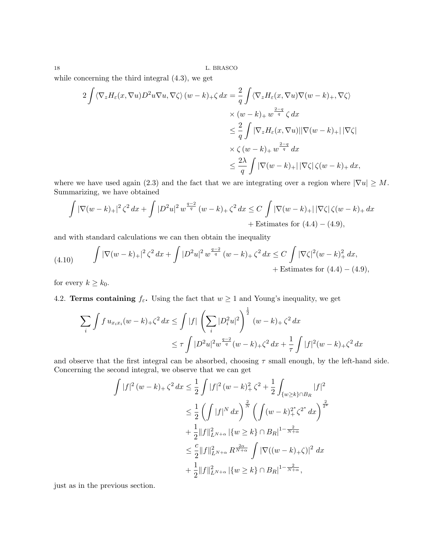while concerning the third integral (4.3), we get

$$
2 \int \langle \nabla_z H_{\varepsilon}(x, \nabla u) D^2 u \nabla u, \nabla \zeta \rangle (w - k)_{+} \zeta dx = \frac{2}{q} \int \langle \nabla_z H_{\varepsilon}(x, \nabla u) \nabla (w - k)_{+}, \nabla \zeta \rangle
$$
  

$$
\times (w - k)_{+} w^{\frac{2-q}{q}} \zeta dx
$$
  

$$
\leq \frac{2}{q} \int |\nabla_z H_{\varepsilon}(x, \nabla u)| |\nabla (w - k)_{+}| |\nabla \zeta|
$$
  

$$
\times \zeta (w - k)_{+} w^{\frac{2-q}{q}} dx
$$
  

$$
\leq \frac{2\lambda}{q} \int |\nabla (w - k)_{+}| |\nabla \zeta| \zeta (w - k)_{+} dx,
$$

where we have used again (2.3) and the fact that we are integrating over a region where  $|\nabla u| \geq M$ . Summarizing, we have obtained

$$
\int |\nabla(w-k)_+|^2 \zeta^2 dx + \int |D^2 u|^2 w^{\frac{q-2}{q}} (w-k)_+ \zeta^2 dx \le C \int |\nabla(w-k)_+| |\nabla \zeta| \zeta (w-k)_+ dx + \text{Estimates for (4.4) – (4.9),}
$$

and with standard calculations we can then obtain the inequality

(4.10) 
$$
\int |\nabla(w-k)_+|^2 \zeta^2 dx + \int |D^2u|^2 w^{\frac{q-2}{q}} (w-k)_+ \zeta^2 dx \leq C \int |\nabla \zeta|^2 (w-k)_+^2 dx, \\ + \text{Estimates for (4.4)} - (4.9),
$$

for every  $k \geq k_0$ .

4.2. **Terms containing**  $f_{\varepsilon}$ . Using the fact that  $w \ge 1$  and Young's inequality, we get

$$
\sum_{i} \int f u_{x_i x_i} (w - k)_+ \zeta^2 dx \le \int |f| \left( \sum_{i} |D_i^2 u|^2 \right)^{\frac{1}{2}} (w - k)_+ \zeta^2 dx
$$
  

$$
\le \tau \int |D^2 u|^2 w^{\frac{q-2}{q}} (w - k)_+ \zeta^2 dx + \frac{1}{\tau} \int |f|^2 (w - k)_+ \zeta^2 dx
$$

and observe that the first integral can be absorbed, choosing  $\tau$  small enough, by the left-hand side. Concerning the second integral, we observe that we can get

$$
\int |f|^2 (w - k)_+ \zeta^2 dx \le \frac{1}{2} \int |f|^2 (w - k)_+^2 \zeta^2 + \frac{1}{2} \int_{\{w \ge k\} \cap B_R} |f|^2
$$
  

$$
\le \frac{1}{2} \left( \int |f|^N dx \right)^{\frac{2}{N}} \left( \int (w - k)_+^2 \zeta^2 dx \right)^{\frac{2}{2^*}}
$$
  

$$
+ \frac{1}{2} \|f\|_{L^{N+\alpha}}^2 \left| \{w \ge k\} \cap B_R \right|^{1 - \frac{2}{N+\alpha}}
$$
  

$$
\le \frac{c}{2} \|f\|_{L^{N+\alpha}}^2 R^{\frac{2\alpha}{N+\alpha}} \int |\nabla((w - k)_+ \zeta)|^2 dx
$$
  

$$
+ \frac{1}{2} \|f\|_{L^{N+\alpha}}^2 \left| \{w \ge k\} \cap B_R \right|^{1 - \frac{2}{N+\alpha}},
$$

just as in the previous section.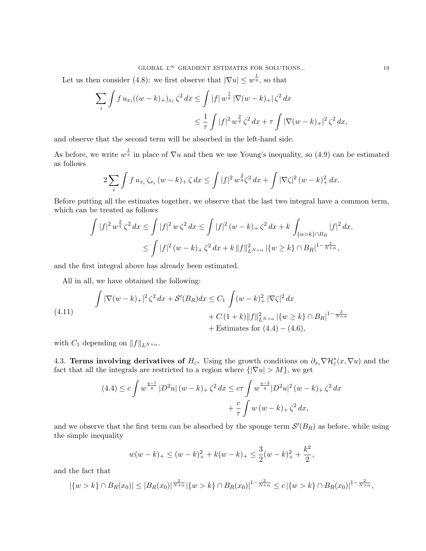### GLOBAL  $L^{\infty}$  GRADIENT ESTIMATES FOR SOLUTIONS... 19

Let us then consider (4.8): we first observe that  $|\nabla u| \leq w^{\frac{1}{q}}$ , so that

$$
\sum_{i} \int f u_{x_i} ((w - k)_{+})_{x_i} \zeta^2 dx \le \int |f| w^{\frac{1}{q}} |\nabla (w - k)_{+}| \zeta^2 dx
$$
  

$$
\le \frac{1}{\tau} \int |f|^2 w^{\frac{2}{q}} \zeta^2 dx + \tau \int |\nabla (w - k)_{+}|^2 \zeta^2 dx,
$$

and observe that the second term will be absorbed in the left-hand side.

As before, we write  $w^{\frac{1}{q}}$  in place of  $\nabla u$  and then we use Young's inequality, so (4.9) can be estimated as follows

$$
2\sum_{i}\int f u_{x_i}\,\zeta_{x_i}\,(w-k)_+\,\zeta\,dx\leq \int |f|^2\,w^{\frac{2}{q}}\zeta^2\,dx+\int |\nabla\zeta|^2\,(w-k)_+^2\,dx.
$$

Before putting all the estimates together, we observe that the last two integral have a common term, which can be treated as follows

$$
\int |f|^2 w^{\frac{2}{q}} \zeta^2 dx \le \int |f|^2 w \zeta^2 dx \le \int |f|^2 (w - k)_+ \zeta^2 dx + k \int_{\{w > k\} \cap B_R} |f|^2 dx,
$$
  

$$
\le \int |f|^2 (w - k)_+ \zeta^2 dx + k \|f\|_{L^{N+\alpha}}^2 |\{w \ge k\} \cap B_R|^{1 - \frac{2}{N+\alpha}},
$$

and the first integral above has already been estimated.

All in all, we have obtained the following:

(4.11) 
$$
\int |\nabla(w-k)_+|^2 \zeta^2 dx + S'(B_R) dx \leq C_1 \int (w-k)_+^2 |\nabla \zeta|^2 dx + C (1+k) \|f\|_{L^{N+\alpha}}^2 |\{w \geq k\} \cap B_R|^{1-\frac{2}{N+\alpha}} + \text{Estimates for (4.4) – (4.6),}
$$

with  $C_1$  depending on  $||f||_{L^{N+\alpha}}$ .

4.3. Terms involving derivatives of  $H_{\varepsilon}$ . Using the growth conditions on  $\partial_{x_i} \nabla \mathcal{H}_{\varepsilon}^*(x, \nabla u)$  and the fact that all the integrals are restricted to a region where  $\{|\nabla u| > M\}$ , we get

$$
(4.4) \le c \int w^{\frac{q-1}{q}} |D^2 u| (w-k)_+ \zeta^2 dx \le c \tau \int w^{\frac{q-2}{q}} |D^2 u|^2 (w-k)_+ \zeta^2 dx
$$

$$
+ \frac{c}{\tau} \int w (w-k)_+ \zeta^2 dx,
$$

and we observe that the first term can be absorbed by the sponge term  $\mathcal{S}'(B_R)$  as before, while using the simple inequality

$$
w(w-k)_{+} \leq (w-k)_{+}^{2} + k(w-k)_{+} \leq \frac{3}{2}(w-k)_{+}^{2} + \frac{k^{2}}{2},
$$

and the fact that

$$
|\{w > k\} \cap B_R(x_0)| \leq |B_R(x_0)|^{\frac{2}{N+\alpha}} |\{w > k\} \cap B_R(x_0)|^{1-\frac{2}{N+\alpha}} \leq c |\{w > k\} \cap B_R(x_0)|^{1-\frac{2}{N+\alpha}},
$$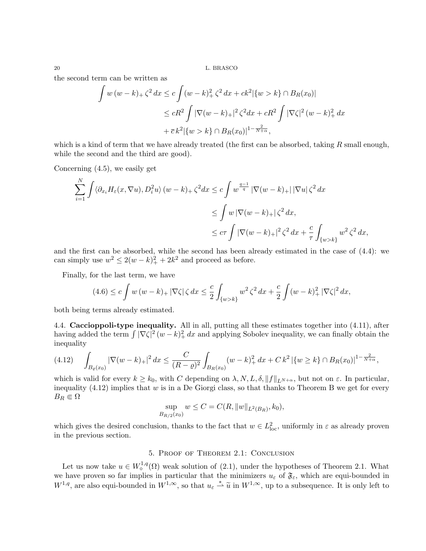the second term can be written as

$$
\int w (w - k)_+ \zeta^2 dx \le c \int (w - k)_+^2 \zeta^2 dx + ck^2 |\{w > k\} \cap B_R(x_0)|
$$
  

$$
\le cR^2 \int |\nabla (w - k)_+|^2 \zeta^2 dx + cR^2 \int |\nabla \zeta|^2 (w - k)_+^2 dx
$$
  

$$
+ \overline{c} k^2 |\{w > k\} \cap B_R(x_0)|^{1 - \frac{2}{N + \alpha}},
$$

which is a kind of term that we have already treated (the first can be absorbed, taking  $R$  small enough, while the second and the third are good).

Concerning (4.5), we easily get

$$
\sum_{i=1}^{N} \int \langle \partial_{x_i} H_{\varepsilon}(x, \nabla u), D_i^2 u \rangle (w - k) + \zeta^2 dx \le c \int w^{\frac{q-1}{q}} |\nabla(w - k) + | |\nabla u| \zeta^2 dx
$$
  

$$
\le \int w |\nabla(w - k) + | \zeta^2 dx,
$$
  

$$
\le c \tau \int |\nabla(w - k) + |^2 \zeta^2 dx + \frac{c}{\tau} \int_{\{w > k\}} w^2 \zeta^2 dx,
$$

and the first can be absorbed, while the second has been already estimated in the case of (4.4): we can simply use  $w^2 \leq 2(w-k)_+^2 + 2k^2$  and proceed as before.

Finally, for the last term, we have

$$
(4.6) \le c \int w (w - k)_+ |\nabla \zeta| \zeta dx \le \frac{c}{2} \int_{\{w > k\}} w^2 \zeta^2 dx + \frac{c}{2} \int (w - k)_+^2 |\nabla \zeta|^2 dx,
$$

both being terms already estimated.

4.4. Caccioppoli-type inequality. All in all, putting all these estimates together into (4.11), after having added the term  $\int |\nabla \zeta|^2 (w - k)_+^2 dx$  and applying Sobolev inequality, we can finally obtain the inequality

$$
(4.12) \quad \int_{B_{\varrho}(x_0)} |\nabla(w-k)_+|^2 \, dx \le \frac{C}{(R-\varrho)^2} \int_{B_R(x_0)} (w-k)_+^2 \, dx + C \, k^2 \left| \{ w \ge k \} \cap B_R(x_0) \right|^{1-\frac{2}{N+\alpha}},
$$

which is valid for every  $k \geq k_0$ , with C depending on  $\lambda, N, L, \delta, ||f||_{L^{N+\alpha}}$ , but not on  $\varepsilon$ . In particular, inequality  $(4.12)$  implies that w is in a De Giorgi class, so that thanks to Theorem B we get for every  $B_R \in \Omega$ 

$$
\sup_{B_{R/2}(x_0)} w \le C = C(R, ||w||_{L^2(B_R)}, k_0),
$$

which gives the desired conclusion, thanks to the fact that  $w \in L^2_{loc}$ , uniformly in  $\varepsilon$  as already proven in the previous section.

# 5. Proof of Theorem 2.1: Conclusion

Let us now take  $u \in W^{1,q}_\diamond(\Omega)$  weak solution of (2.1), under the hypotheses of Theorem 2.1. What we have proven so far implies in particular that the minimizers  $u_{\varepsilon}$  of  $\mathfrak{F}_{\varepsilon}$ , which are equi-bounded in  $W^{1,q}$ , are also equi-bounded in  $W^{1,\infty}$ , so that  $u_{\varepsilon} \stackrel{*}{\rightharpoonup} \tilde{u}$  in  $W^{1,\infty}$ , up to a subsequence. It is only left to